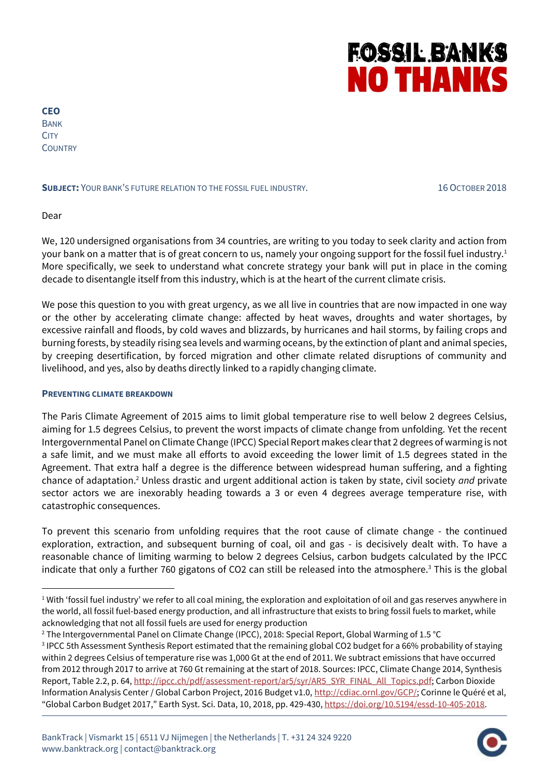# **FOSSIL BANKS NO THANKS**

**CEO** BANK **CITY COUNTRY** 

#### **SUBJECT:** YOUR BANK'S FUTURE RELATION TO THE FOSSIL FUEL INDUSTRY. 16 OCTOBER 2018

Dear

1

We, 120 undersigned organisations from 34 countries, are writing to you today to seek clarity and action from your bank on a matter that is of great concern to us, namely your ongoing support for the fossil fuel industry.<sup>1</sup> More specifically, we seek to understand what concrete strategy your bank will put in place in the coming decade to disentangle itself from this industry, which is at the heart of the current climate crisis.

We pose this question to you with great urgency, as we all live in countries that are now impacted in one way or the other by accelerating climate change: affected by heat waves, droughts and water shortages, by excessive rainfall and floods, by cold waves and blizzards, by hurricanes and hail storms, by failing crops and burning forests, by steadily rising sea levels and warming oceans, by the extinction of plant and animal species, by creeping desertification, by forced migration and other climate related disruptions of community and livelihood, and yes, also by deaths directly linked to a rapidly changing climate.

#### **PREVENTING CLIMATE BREAKDOWN**

The Paris Climate Agreement of 2015 aims to limit global temperature rise to well below 2 degrees Celsius, aiming for 1.5 degrees Celsius, to prevent the worst impacts of climate change from unfolding. Yet the recent Intergovernmental Panel on Climate Change (IPCC) Special Report makes clear that 2 degrees of warming is not a safe limit, and we must make all efforts to avoid exceeding the lower limit of 1.5 degrees stated in the Agreement. That extra half a degree is the difference between widespread human suffering, and a fighting chance of adaptation.<sup>2</sup> Unless drastic and urgent additional action is taken by state, civil society *and* private sector actors we are inexorably heading towards a 3 or even 4 degrees average temperature rise, with catastrophic consequences.

To prevent this scenario from unfolding requires that the root cause of climate change - the continued exploration, extraction, and subsequent burning of coal, oil and gas - is decisively dealt with. To have a reasonable chance of limiting warming to below 2 degrees Celsius, carbon budgets calculated by the IPCC indicate that only a further 760 gigatons of CO2 can still be released into the atmosphere.<sup>3</sup> This is the global



 $1$  With 'fossil fuel industry' we refer to all coal mining, the exploration and exploitation of oil and gas reserves anywhere in the world, all fossil fuel-based energy production, and all infrastructure that exists to bring fossil fuels to market, while acknowledging that not all fossil fuels are used for energy production

<sup>&</sup>lt;sup>2</sup> The Intergovernmental Panel on Climate Change (IPCC), 2018: Special Report, Global Warming of 1.5 °C

<sup>&</sup>lt;sup>3</sup> IPCC 5th Assessment Synthesis Report estimated that the remaining global CO2 budget for a 66% probability of staying within 2 degrees Celsius of temperature rise was 1,000 Gt at the end of 2011. We subtract emissions that have occurred from 2012 through 2017 to arrive at 760 Gt remaining at the start of 2018. Sources: IPCC, Climate Change 2014, Synthesis Report, Table 2.2, p. 64[, http://ipcc.ch/pdf/assessment-report/ar5/syr/AR5\\_SYR\\_FINAL\\_All\\_Topics.pdf;](http://ipcc.ch/pdf/assessment-report/ar5/syr/AR5_SYR_FINAL_All_Topics.pdf) Carbon Dioxide Information Analysis Center / Global Carbon Project, 2016 Budget v1.0, [http://cdiac.ornl.gov/GCP/;](http://cdiac.ornl.gov/GCP/) Corinne le Quéré et al, "Global Carbon Budget 2017," Earth Syst. Sci. Data, 10, 2018, pp. 429-430[, https://doi.org/10.5194/essd-10-405-2018.](https://doi.org/10.5194/essd-10-405-2018)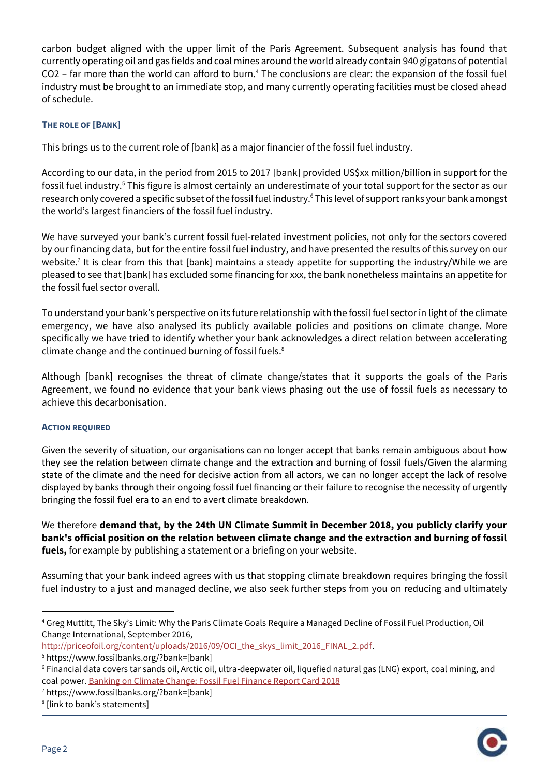carbon budget aligned with the upper limit of the Paris Agreement. Subsequent analysis has found that currently operating oil and gas fields and coal mines around the world already contain 940 gigatons of potential CO2 - far more than the world can afford to burn.<sup>4</sup> The conclusions are clear: the expansion of the fossil fuel industry must be brought to an immediate stop, and many currently operating facilities must be closed ahead of schedule.

## **THE ROLE OF [BANK]**

This brings us to the current role of [bank] as a major financier of the fossil fuel industry.

According to our data, in the period from 2015 to 2017 [bank] provided US\$xx million/billion in support for the fossil fuel industry.<sup>5</sup> This figure is almost certainly an underestimate of your total support for the sector as our research only covered a specific subset of the fossil fuel industry. <sup>6</sup> This level of support ranks your bank amongst the world's largest financiers of the fossil fuel industry.

We have surveyed your bank's current fossil fuel-related investment policies, not only for the sectors covered by our financing data, but for the entire fossil fuel industry, and have presented the results of this survey on our website.<sup>7</sup> It is clear from this that [bank] maintains a steady appetite for supporting the industry/While we are pleased to see that [bank] has excluded some financing for xxx, the bank nonetheless maintains an appetite for the fossil fuel sector overall.

To understand your bank's perspective on its future relationship with the fossil fuel sector in light of the climate emergency, we have also analysed its publicly available policies and positions on climate change. More specifically we have tried to identify whether your bank acknowledges a direct relation between accelerating climate change and the continued burning of fossil fuels.<sup>8</sup>

Although [bank] recognises the threat of climate change/states that it supports the goals of the Paris Agreement, we found no evidence that your bank views phasing out the use of fossil fuels as necessary to achieve this decarbonisation.

### **ACTION REQUIRED**

Given the severity of situation, our organisations can no longer accept that banks remain ambiguous about how they see the relation between climate change and the extraction and burning of fossil fuels/Given the alarming state of the climate and the need for decisive action from all actors, we can no longer accept the lack of resolve displayed by banks through their ongoing fossil fuel financing or their failure to recognise the necessity of urgently bringing the fossil fuel era to an end to avert climate breakdown.

We therefore **demand that, by the 24th UN Climate Summit in December 2018, you publicly clarify your bank's official position on the relation between climate change and the extraction and burning of fossil fuels,** for example by publishing a statement or a briefing on your website.

Assuming that your bank indeed agrees with us that stopping climate breakdown requires bringing the fossil fuel industry to a just and managed decline, we also seek further steps from you on reducing and ultimately

<sup>8</sup> [link to bank's statements]



1

<sup>4</sup> Greg Muttitt, The Sky's Limit: Why the Paris Climate Goals Require a Managed Decline of Fossil Fuel Production, Oil Change International, September 2016,

[http://priceofoil.org/content/uploads/2016/09/OCI\\_the\\_skys\\_limit\\_2016\\_FINAL\\_2.pdf.](http://priceofoil.org/content/uploads/2016/09/OCI_the_skys_limit_2016_FINAL_2.pdf)

<sup>5</sup> https://www.fossilbanks.org/?bank=[bank]

<sup>6</sup> Financial data covers tar sands oil, Arctic oil, ultra-deepwater oil, liquefied natural gas (LNG) export, coal mining, and coal power[. Banking on Climate Change: Fossil Fuel Finance Report Card 2018](http://www.ran.org/wp-content/uploads/rainforestactionnetwork/pages/19540/attachments/original/1525099181/Banking_on_Climate_Change_2018_vWEB.pdf?1525099181)

<sup>7</sup> https://www.fossilbanks.org/?bank=[bank]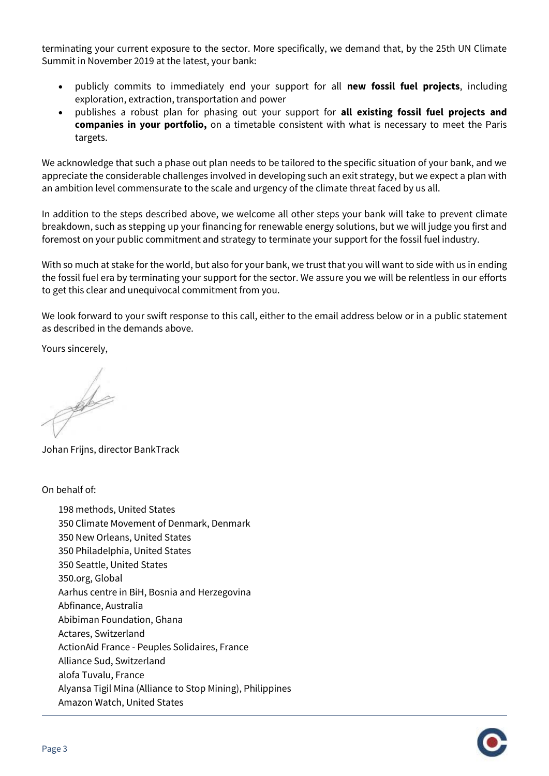terminating your current exposure to the sector. More specifically, we demand that, by the 25th UN Climate Summit in November 2019 at the latest, your bank:

- publicly commits to immediately end your support for all **new fossil fuel projects**, including exploration, extraction, transportation and power
- publishes a robust plan for phasing out your support for **all existing fossil fuel projects and companies in your portfolio,** on a timetable consistent with what is necessary to meet the Paris targets.

We acknowledge that such a phase out plan needs to be tailored to the specific situation of your bank, and we appreciate the considerable challenges involved in developing such an exit strategy, but we expect a plan with an ambition level commensurate to the scale and urgency of the climate threat faced by us all.

In addition to the steps described above, we welcome all other steps your bank will take to prevent climate breakdown, such as stepping up your financing for renewable energy solutions, but we will judge you first and foremost on your public commitment and strategy to terminate your support for the fossil fuel industry.

With so much at stake for the world, but also for your bank, we trust that you will want to side with us in ending the fossil fuel era by terminating your support for the sector. We assure you we will be relentless in our efforts to get this clear and unequivocal commitment from you.

We look forward to your swift response to this call, either to the email address below or in a public statement as described in the demands above.

Yours sincerely,

de

Johan Frijns, director BankTrack

On behalf of:

198 methods, United States 350 Climate Movement of Denmark, Denmark 350 New Orleans, United States 350 Philadelphia, United States 350 Seattle, United States 350.org, Global Aarhus centre in BiH, Bosnia and Herzegovina Abfinance, Australia Abibiman Foundation, Ghana Actares, Switzerland ActionAid France - Peuples Solidaires, France Alliance Sud, Switzerland alofa Tuvalu, France Alyansa Tigil Mina (Alliance to Stop Mining), Philippines Amazon Watch, United States

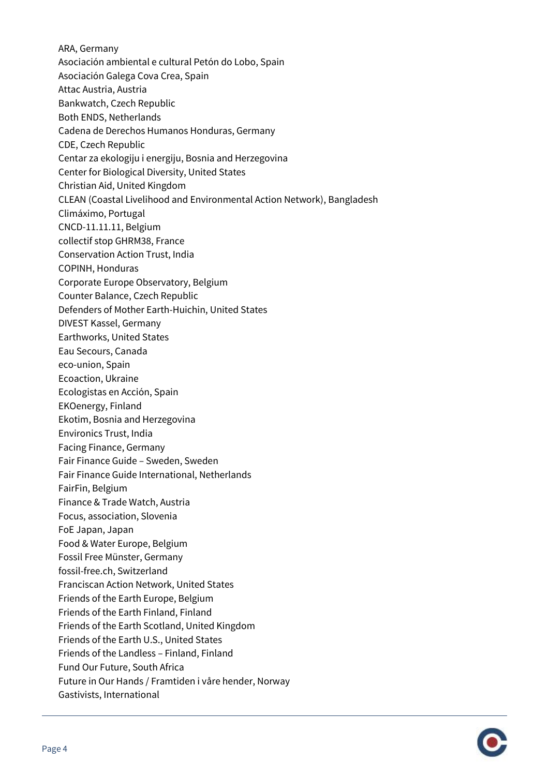ARA, Germany Asociación ambiental e cultural Petón do Lobo, Spain Asociación Galega Cova Crea, Spain Attac Austria, Austria Bankwatch, Czech Republic Both ENDS, Netherlands Cadena de Derechos Humanos Honduras, Germany CDE, Czech Republic Centar za ekologiju i energiju, Bosnia and Herzegovina Center for Biological Diversity, United States Christian Aid, United Kingdom CLEAN (Coastal Livelihood and Environmental Action Network), Bangladesh Climáximo, Portugal CNCD-11.11.11, Belgium collectif stop GHRM38, France Conservation Action Trust, India COPINH, Honduras Corporate Europe Observatory, Belgium Counter Balance, Czech Republic Defenders of Mother Earth-Huichin, United States DIVEST Kassel, Germany Earthworks, United States Eau Secours, Canada eco-union, Spain Ecoaction, Ukraine Ecologistas en Acción, Spain EKOenergy, Finland Ekotim, Bosnia and Herzegovina Environics Trust, India Facing Finance, Germany Fair Finance Guide – Sweden, Sweden Fair Finance Guide International, Netherlands FairFin, Belgium Finance & Trade Watch, Austria Focus, association, Slovenia FoE Japan, Japan Food & Water Europe, Belgium Fossil Free Münster, Germany fossil-free.ch, Switzerland Franciscan Action Network, United States Friends of the Earth Europe, Belgium Friends of the Earth Finland, Finland Friends of the Earth Scotland, United Kingdom Friends of the Earth U.S., United States Friends of the Landless – Finland, Finland Fund Our Future, South Africa Future in Our Hands / Framtiden i våre hender, Norway Gastivists, International

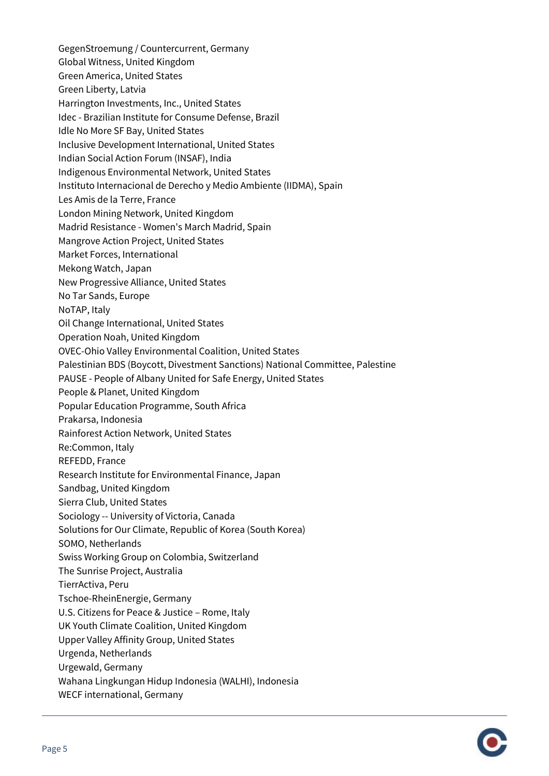GegenStroemung / Countercurrent, Germany Global Witness, United Kingdom Green America, United States Green Liberty, Latvia Harrington Investments, Inc., United States Idec - Brazilian Institute for Consume Defense, Brazil Idle No More SF Bay, United States Inclusive Development International, United States Indian Social Action Forum (INSAF), India Indigenous Environmental Network, United States Instituto Internacional de Derecho y Medio Ambiente (IIDMA), Spain Les Amis de la Terre, France London Mining Network, United Kingdom Madrid Resistance - Women's March Madrid, Spain Mangrove Action Project, United States Market Forces, International Mekong Watch, Japan New Progressive Alliance, United States No Tar Sands, Europe NoTAP, Italy Oil Change International, United States Operation Noah, United Kingdom OVEC-Ohio Valley Environmental Coalition, United States Palestinian BDS (Boycott, Divestment Sanctions) National Committee, Palestine PAUSE - People of Albany United for Safe Energy, United States People & Planet, United Kingdom Popular Education Programme, South Africa Prakarsa, Indonesia Rainforest Action Network, United States Re:Common, Italy REFEDD, France Research Institute for Environmental Finance, Japan Sandbag, United Kingdom Sierra Club, United States Sociology -- University of Victoria, Canada Solutions for Our Climate, Republic of Korea (South Korea) SOMO, Netherlands Swiss Working Group on Colombia, Switzerland The Sunrise Project, Australia TierrActiva, Peru Tschoe-RheinEnergie, Germany U.S. Citizens for Peace & Justice – Rome, Italy UK Youth Climate Coalition, United Kingdom Upper Valley Affinity Group, United States Urgenda, Netherlands Urgewald, Germany Wahana Lingkungan Hidup Indonesia (WALHI), Indonesia WECF international, Germany